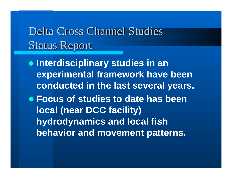# Delta Cross Channel Studies **Status Report**

**• Interdisciplinary studies in an experimental framework have been conducted in the last several years.**

**• Focus of studies to date has been local (near DCC facility) hydrodynamics and local fish behavior and movement patterns.**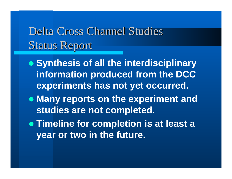# Delta Cross Channel Studies **Status Report**

- **Synthesis of all the interdisciplinary information produced from the DCC experiments has not yet occurred.**
- **Many reports on the experiment and studies are not completed.**
- **Timeline for completion is at least a year or two in the future.**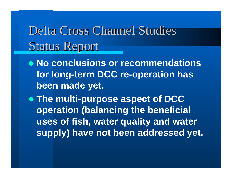# Delta Cross Channel Studies **Status Report**

**• No conclusions or recommendations for long-term DCC re-operation has been made yet.** 

**• The multi-purpose aspect of DCC operation (balancing the beneficial uses of fish, water quality and water supply) have not been addressed yet.**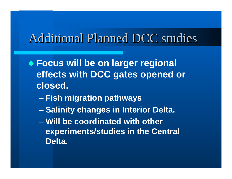### Additional Planned DCC studies

- **Focus will be on larger regional effects with DCC gates opened or closed.**
	- en al control de la control de **Fish migration pathways**
	- en al control de la control de **– Salinity changes in Interior Delta.**
	- **Will be coordinated with other experiments/studies in the Central Delta.**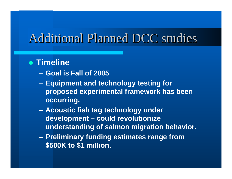### Additional Planned DCC studies

#### **• Timeline**

- **Goal is Fall of 2005**
- – **Equipment and technology testing for proposed experimental framework has been occurring.**
- **Acoustic fish tag technology under development – could revolutionize understanding of salmon migration behavior.**
- **Preliminary funding estimates range from \$500K to \$1 million.**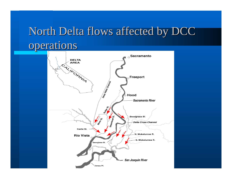# North Delta flows affected by DCC operations

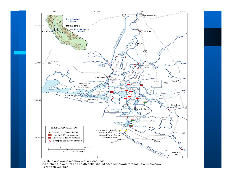

Existing and proposed flow station locations. All stations in central and south delta should have temperature/conductivity sensors.

File: nd.flow.plan.ai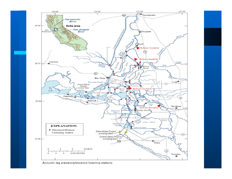

Acoustic tag precence/absence listening stations.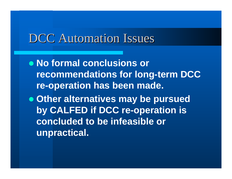### DCC Automation Issues

**• No formal conclusions or recommendations for long-term DCC re-operation has been made.**

**• Other alternatives may be pursued by CALFED if DCC re-operation is concluded to be infeasible or unpractical.**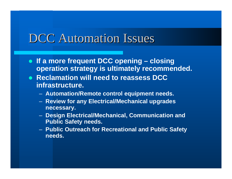### DCC Automation Issues

- z **If a more frequent DCC opening – closing operation strategy is ultimately recommended.**
- **Reclamation will need to reassess DCC infrastructure.**
	- **Automation/Remote control equipment needs.**
	- **Review for any Electrical/Mechanical upgrades necessary.**
	- **Design Electrical/Mechanical, Communication and Public Safety needs.**
	- **Public Outreach for Recreational and Public Safety needs.**